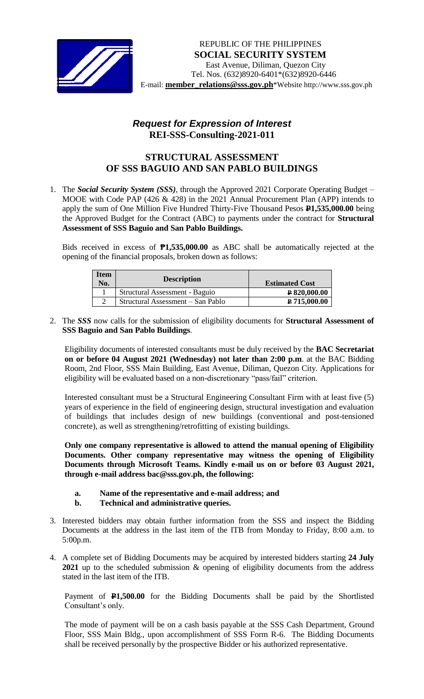

## *Request for Expression of Interest*  **REI-SSS-Consulting-2021-011**

## **STRUCTURAL ASSESSMENT OF SSS BAGUIO AND SAN PABLO BUILDINGS**

1. The *Social Security System (SSS)*, through the Approved 2021 Corporate Operating Budget – MOOE with Code PAP (426 & 428) in the 2021 Annual Procurement Plan (APP) intends to apply the sum of One Million Five Hundred Thirty-Five Thousand Pesos **P1,535,000.00** being the Approved Budget for the Contract (ABC) to payments under the contract for **Structural Assessment of SSS Baguio and San Pablo Buildings.**

Bids received in excess of **₱1,535,000.00** as ABC shall be automatically rejected at the opening of the financial proposals, broken down as follows:

| <b>Item</b><br>No. | <b>Description</b>                | <b>Estimated Cost</b> |
|--------------------|-----------------------------------|-----------------------|
|                    | Structural Assessment - Baguio    | P 820,000.00          |
|                    | Structural Assessment – San Pablo | P 715,000.00          |

2. The *SSS* now calls for the submission of eligibility documents for **Structural Assessment of SSS Baguio and San Pablo Buildings**.

Eligibility documents of interested consultants must be duly received by the **BAC Secretariat on or before 04 August 2021 (Wednesday) not later than 2:00 p.m**. at the BAC Bidding Room, 2nd Floor, SSS Main Building, East Avenue, Diliman, Quezon City. Applications for eligibility will be evaluated based on a non-discretionary "pass/fail" criterion.

Interested consultant must be a Structural Engineering Consultant Firm with at least five (5) years of experience in the field of engineering design, structural investigation and evaluation of buildings that includes design of new buildings (conventional and post-tensioned concrete), as well as strengthening/retrofitting of existing buildings.

**Only one company representative is allowed to attend the manual opening of Eligibility Documents. Other company representative may witness the opening of Eligibility Documents through Microsoft Teams. Kindly e-mail us on or before 03 August 2021, through e-mail address bac@sss.gov.ph, the following:**

- **a. Name of the representative and e-mail address; and**
- **b. Technical and administrative queries.**
- 3. Interested bidders may obtain further information from the SSS and inspect the Bidding Documents at the address in the last item of the ITB from Monday to Friday, 8:00 a.m. to 5:00p.m.
- 4. A complete set of Bidding Documents may be acquired by interested bidders starting **24 July 2021** up to the scheduled submission & opening of eligibility documents from the address stated in the last item of the ITB.

Payment of **P1,500.00** for the Bidding Documents shall be paid by the Shortlisted Consultant's only.

The mode of payment will be on a cash basis payable at the SSS Cash Department, Ground Floor, SSS Main Bldg., upon accomplishment of SSS Form R-6. The Bidding Documents shall be received personally by the prospective Bidder or his authorized representative.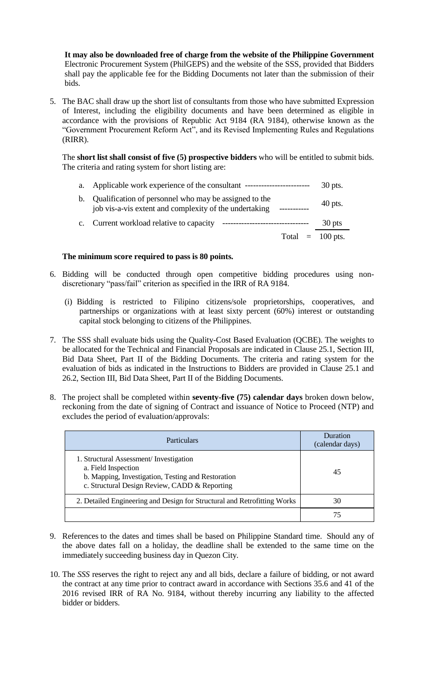**It may also be downloaded free of charge from the website of the Philippine Government** Electronic Procurement System (PhilGEPS) and the website of the SSS*,* provided that Bidders shall pay the applicable fee for the Bidding Documents not later than the submission of their bids.

5. The BAC shall draw up the short list of consultants from those who have submitted Expression of Interest, including the eligibility documents and have been determined as eligible in accordance with the provisions of Republic Act 9184 (RA 9184), otherwise known as the "Government Procurement Reform Act", and its Revised Implementing Rules and Regulations (RIRR).

The **short list shall consist of five (5) prospective bidders** who will be entitled to submit bids. The criteria and rating system for short listing are:

a. Applicable work experience of the consultant ------------------------ 30 pts.

| b. Qualification of personnel who may be assigned to the<br>job vis-a-vis extent and complexity of the undertaking | $40$ pts. |
|--------------------------------------------------------------------------------------------------------------------|-----------|
| c. Current workload relative to capacity                                                                           | $30$ pts  |

Total  $= 100$  pts.

## **The minimum score required to pass is 80 points.**

- 6. Bidding will be conducted through open competitive bidding procedures using nondiscretionary "pass/fail" criterion as specified in the IRR of RA 9184.
	- (i) Bidding is restricted to Filipino citizens/sole proprietorships, cooperatives, and partnerships or organizations with at least sixty percent (60%) interest or outstanding capital stock belonging to citizens of the Philippines.
- 7. The SSS shall evaluate bids using the Quality-Cost Based Evaluation (QCBE). The weights to be allocated for the Technical and Financial Proposals are indicated in Clause 25.1, Section III, Bid Data Sheet, Part II of the Bidding Documents. The criteria and rating system for the evaluation of bids as indicated in the Instructions to Bidders are provided in Clause 25.1 and 26.2, Section III, Bid Data Sheet, Part II of the Bidding Documents.
- 8. The project shall be completed within **seventy-five (75) calendar days** broken down below, reckoning from the date of signing of Contract and issuance of Notice to Proceed (NTP) and excludes the period of evaluation/approvals:

| <b>Particulars</b>                                                                                                                                                   | <b>Duration</b><br>(calendar days) |
|----------------------------------------------------------------------------------------------------------------------------------------------------------------------|------------------------------------|
| 1. Structural Assessment/Investigation<br>a. Field Inspection<br>b. Mapping, Investigation, Testing and Restoration<br>c. Structural Design Review, CADD & Reporting | 45                                 |
| 2. Detailed Engineering and Design for Structural and Retrofitting Works                                                                                             | 30                                 |
|                                                                                                                                                                      |                                    |

- 9. References to the dates and times shall be based on Philippine Standard time. Should any of the above dates fall on a holiday, the deadline shall be extended to the same time on the immediately succeeding business day in Quezon City.
- 10. The *SSS* reserves the right to reject any and all bids, declare a failure of bidding, or not award the contract at any time prior to contract award in accordance with Sections 35.6 and 41 of the 2016 revised IRR of RA No. 9184, without thereby incurring any liability to the affected bidder or bidders.